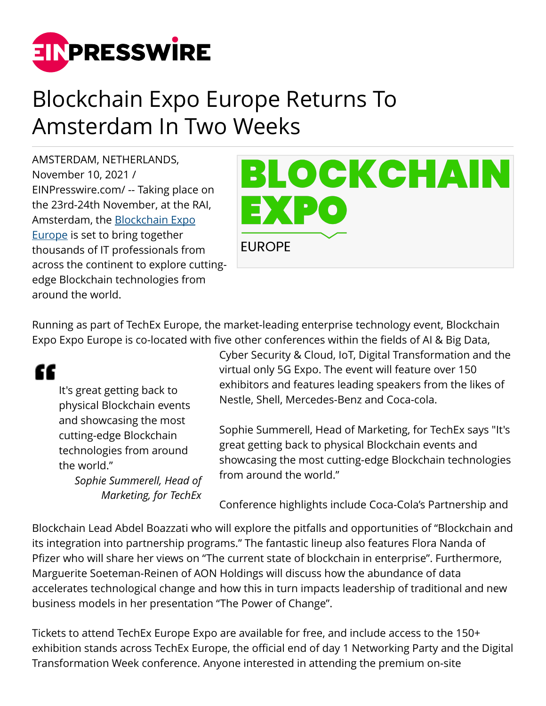

## Blockchain Expo Europe Returns To Amsterdam In Two Weeks

AMSTERDAM, NETHERLANDS, November 10, 2021 / [EINPresswire.com](http://www.einpresswire.com)/ -- Taking place on the 23rd-24th November, at the RAI, Amsterdam, the [Blockchain Expo](https://blockchain-expo.com/europe/) [Europe](https://blockchain-expo.com/europe/) is set to bring together thousands of IT professionals from across the continent to explore cuttingedge Blockchain technologies from around the world.



Running as part of TechEx Europe, the market-leading enterprise technology event, Blockchain Expo Expo Europe is co-located with five other conferences within the fields of AI & Big Data,

## "

It's great getting back to physical Blockchain events and showcasing the most cutting-edge Blockchain technologies from around the world."

*Sophie Summerell, Head of Marketing, for TechEx*

Cyber Security & Cloud, IoT, Digital Transformation and the virtual only 5G Expo. The event will feature over 150 exhibitors and features leading speakers from the likes of Nestle, Shell, Mercedes-Benz and Coca-cola.

Sophie Summerell, Head of Marketing, for TechEx says "It's great getting back to physical Blockchain events and showcasing the most cutting-edge Blockchain technologies from around the world."

Conference highlights include Coca-Cola's Partnership and

Blockchain Lead Abdel Boazzati who will explore the pitfalls and opportunities of "Blockchain and its integration into partnership programs." The fantastic lineup also features Flora Nanda of Pfizer who will share her views on "The current state of blockchain in enterprise". Furthermore, Marguerite Soeteman-Reinen of AON Holdings will discuss how the abundance of data accelerates technological change and how this in turn impacts leadership of traditional and new business models in her presentation "The Power of Change".

Tickets to attend TechEx Europe Expo are available for free, and include access to the 150+ exhibition stands across TechEx Europe, the official end of day 1 Networking Party and the Digital Transformation Week conference. Anyone interested in attending the premium on-site